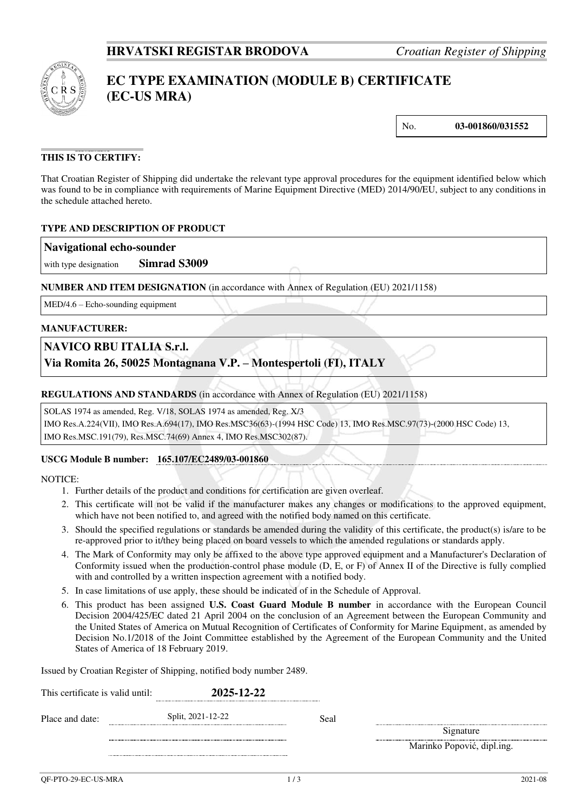

# **EC TYPE EXAMINATION (MODULE B) CERTIFICATE (EC-US MRA)**

No. **03-001860/031552** 

# **THIS IS TO CERTIFY:**

That Croatian Register of Shipping did undertake the relevant type approval procedures for the equipment identified below which was found to be in compliance with requirements of Marine Equipment Directive (MED) 2014/90/EU, subject to any conditions in the schedule attached hereto.

# **TYPE AND DESCRIPTION OF PRODUCT**

#### **Navigational echo-sounder**

with type designation **Simrad S3009**

**NUMBER AND ITEM DESIGNATION** (in accordance with Annex of Regulation (EU) 2021/1158)

MED/4.6 – Echo-sounding equipment

#### **MANUFACTURER:**

# **NAVICO RBU ITALIA S.r.l.**

**Via Romita 26, 50025 Montagnana V.P. – Montespertoli (FI), ITALY**

#### **REGULATIONS AND STANDARDS** (in accordance with Annex of Regulation (EU) 2021/1158)

SOLAS 1974 as amended, Reg. V/18, SOLAS 1974 as amended, Reg. X/3 IMO Res.A.224(VII), IMO Res.A.694(17), IMO Res.MSC36(63)-(1994 HSC Code) 13, IMO Res.MSC.97(73)-(2000 HSC Code) 13,

IMO Res.MSC.191(79), Res.MSC.74(69) Annex 4, IMO Res.MSC302(87).

#### **USCG Module B number: 165.107/EC2489/03-001860**

NOTICE:

- 1. Further details of the product and conditions for certification are given overleaf.
- 2. This certificate will not be valid if the manufacturer makes any changes or modifications to the approved equipment, which have not been notified to, and agreed with the notified body named on this certificate.
- 3. Should the specified regulations or standards be amended during the validity of this certificate, the product(s) is/are to be re-approved prior to it/they being placed on board vessels to which the amended regulations or standards apply.
- 4. The Mark of Conformity may only be affixed to the above type approved equipment and a Manufacturer's Declaration of Conformity issued when the production-control phase module (D, E, or F) of Annex II of the Directive is fully complied with and controlled by a written inspection agreement with a notified body.
- 5. In case limitations of use apply, these should be indicated of in the Schedule of Approval.
- 6. This product has been assigned **U.S. Coast Guard Module B number** in accordance with the European Council Decision 2004/425/EC dated 21 April 2004 on the conclusion of an Agreement between the European Community and the United States of America on Mutual Recognition of Certificates of Conformity for Marine Equipment, as amended by Decision No.1/2018 of the Joint Committee established by the Agreement of the European Community and the United States of America of 18 February 2019.

Issued by Croatian Register of Shipping, notified body number 2489.

| This certificate is valid until: | 2025-12-22        |      |                            |
|----------------------------------|-------------------|------|----------------------------|
|                                  | Split, 2021-12-22 | Seal | Signature                  |
|                                  |                   |      | Marinko Popović, dipl.ing. |
|                                  |                   |      |                            |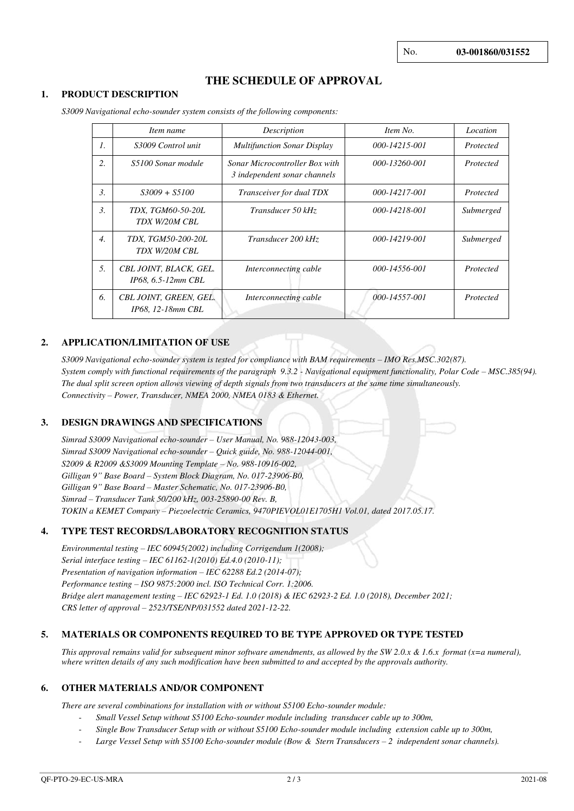# **THE SCHEDULE OF APPROVAL**

#### **1. PRODUCT DESCRIPTION**

|                  | Item name                                    | Description                                                           | Item No.      | Location  |
|------------------|----------------------------------------------|-----------------------------------------------------------------------|---------------|-----------|
| $\mathcal{I}$ .  | S3009 Control unit                           | <b>Multifunction Sonar Display</b>                                    | 000-14215-001 | Protected |
| 2.               | S5100 Sonar module                           | <b>Sonar Microcontroller Box with</b><br>3 independent sonar channels | 000-13260-001 | Protected |
| 3.               | $S3009 + S5100$                              | Transceiver for dual TDX                                              | 000-14217-001 | Protected |
| 3.               | TDX. TGM60-50-20L<br>TDX W/20M CBL           | Transducer 50 kHz                                                     | 000-14218-001 | Submerged |
| $\overline{4}$ . | TDX, TGM50-200-20L<br>TDX W/20M CBL          | Transducer 200 kHz                                                    | 000-14219-001 | Submerged |
| 5.               | CBL JOINT, BLACK, GEL.<br>IP68, 6.5-12mm CBL | Interconnecting cable                                                 | 000-14556-001 | Protected |
| 6.               | CBL JOINT, GREEN, GEL.<br>IP68, 12-18mm CBL  | Interconnecting cable                                                 | 000-14557-001 | Protected |

*S3009 Navigational echo-sounder system consists of the following components:* 

# **2. APPLICATION/LIMITATION OF USE**

*S3009 Navigational echo-sounder system is tested for compliance with BAM requirements – IMO Res.MSC.302(87). System comply with functional requirements of the paragraph 9.3.2 - Navigational equipment functionality, Polar Code – MSC.385(94). The dual split screen option allows viewing of depth signals from two transducers at the same time simultaneously. Connectivity – Power, Transducer, NMEA 2000, NMEA 0183 & Ethernet.* 

# **3. DESIGN DRAWINGS AND SPECIFICATIONS**

*Simrad S3009 Navigational echo-sounder – User Manual, No. 988-12043-003, Simrad S3009 Navigational echo-sounder – Quick guide, No. 988-12044-001, S2009 & R2009 &S3009 Mounting Template – No. 988-10916-002, Gilligan 9" Base Board – System Block Diagram, No. 017-23906-B0, Gilligan 9" Base Board – Master Schematic, No. 017-23906-B0, Simrad – Transducer Tank 50/200 kHz, 003-25890-00 Rev. B, TOKIN a KEMET Company – Piezoelectric Ceramics, 9470PIEVOL01E1705H1 Vol.01, dated 2017.05.17.*

#### **4. TYPE TEST RECORDS/LABORATORY RECOGNITION STATUS**

*Environmental testing – IEC 60945(2002) including Corrigendum 1(2008); Serial interface testing – IEC 61162-1(2010) Ed.4.0 (2010-11); Presentation of navigation information – IEC 62288 Ed.2 (2014-07); Performance testing – ISO 9875:2000 incl. ISO Technical Corr. 1:2006. Bridge alert management testing – IEC 62923-1 Ed. 1.0 (2018) & IEC 62923-2 Ed. 1.0 (2018), December 2021; CRS letter of approval – 2523/TSE/NP/031552 dated 2021-12-22.* 

# **5. MATERIALS OR COMPONENTS REQUIRED TO BE TYPE APPROVED OR TYPE TESTED**

*This approval remains valid for subsequent minor software amendments, as allowed by the SW 2.0.x & 1.6.x format (x=a numeral), where written details of any such modification have been submitted to and accepted by the approvals authority.* 

#### **6. OTHER MATERIALS AND/OR COMPONENT**

*There are several combinations for installation with or without S5100 Echo-sounder module:* 

- *Small Vessel Setup without S5100 Echo-sounder module including transducer cable up to 300m,*
- *Single Bow Transducer Setup with or without S5100 Echo-sounder module including extension cable up to 300m,*
- *Large Vessel Setup with S5100 Echo-sounder module (Bow & Stern Transducers – 2 independent sonar channels).*